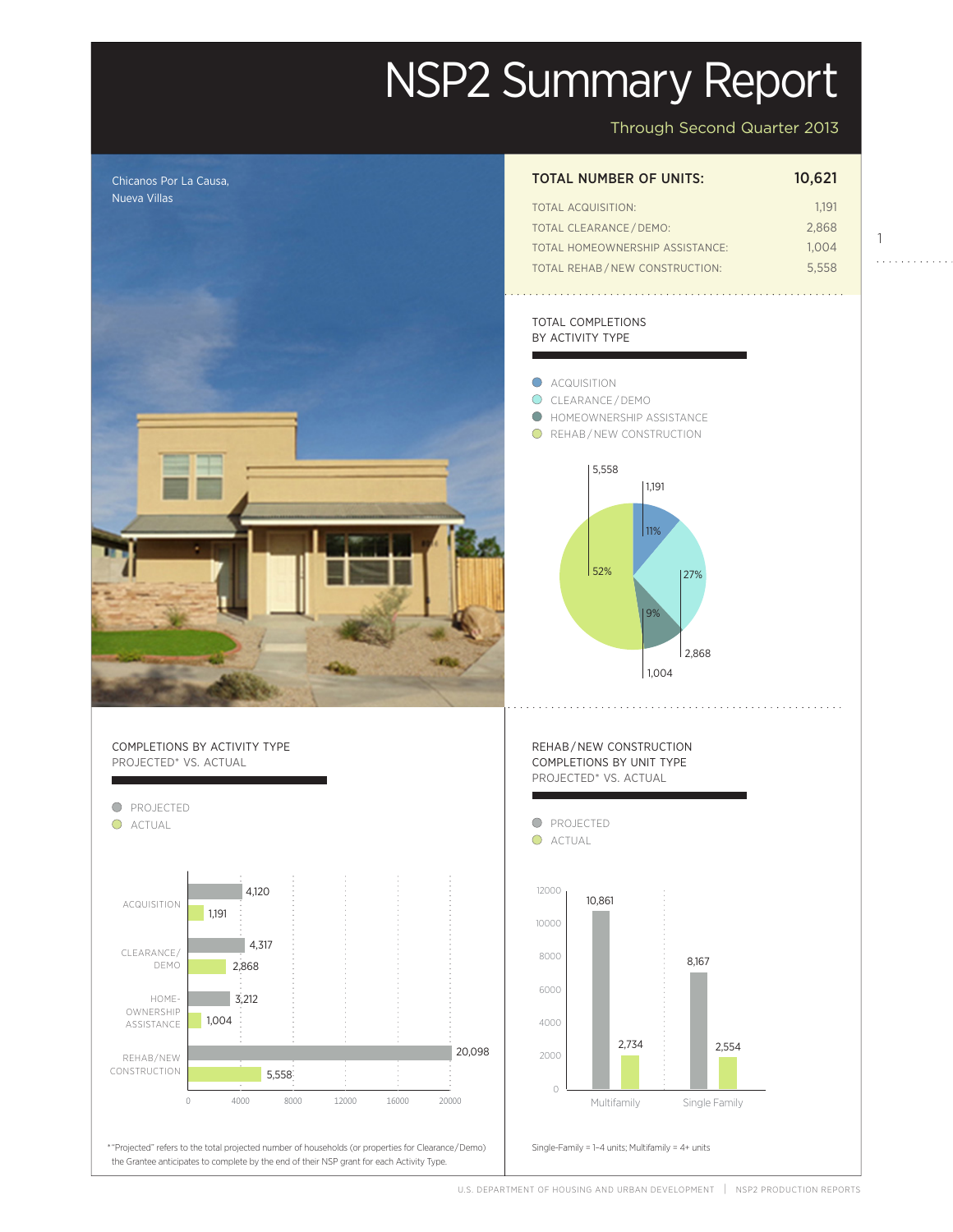# NSP2 Summary Report

Through Second Quarter 2013

1

. . . . . . . . . . . .



U.S. DEPARTMENT OF HOUSING AND URBAN DEVELOPMENT | NSP2 PRODUCTION REPORTS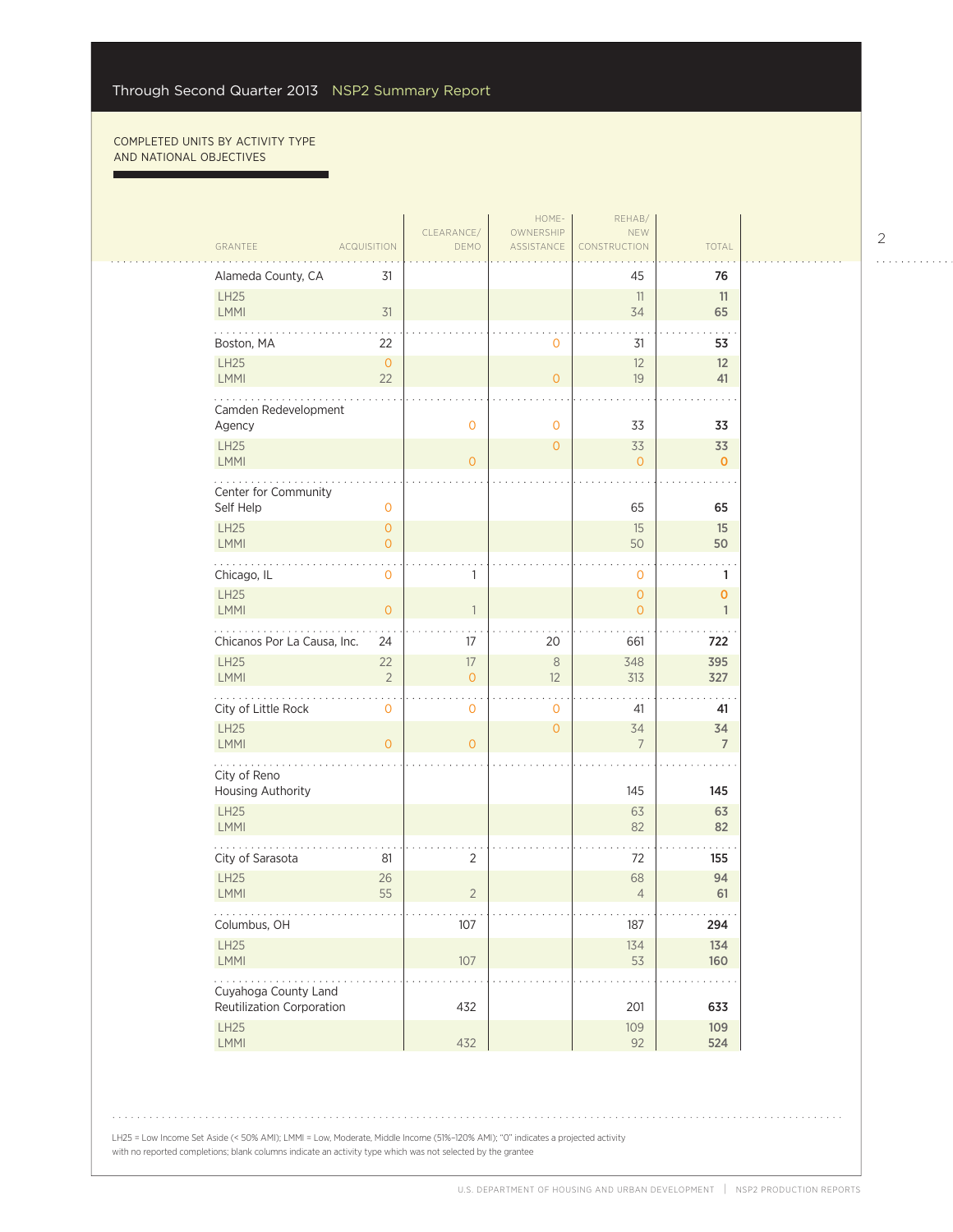г

|                                   |                                       |                                       | HOME-                   | REHAB/                                |                                       |  |
|-----------------------------------|---------------------------------------|---------------------------------------|-------------------------|---------------------------------------|---------------------------------------|--|
| GRANTEE                           | <b>ACQUISITION</b>                    | CLEARANCE/<br>DEMO                    | OWNERSHIP<br>ASSISTANCE | <b>NEW</b><br>CONSTRUCTION            | TOTAL                                 |  |
|                                   |                                       |                                       |                         |                                       |                                       |  |
| Alameda County, CA                | 31                                    |                                       |                         | 45                                    | 76                                    |  |
| LH25<br><b>LMMI</b>               | 31                                    |                                       |                         | 11<br>34                              | 11<br>65                              |  |
| Boston, MA                        | 22                                    |                                       | $\circ$                 | 31                                    | 53                                    |  |
| <b>LH25</b><br>LMMI               | $\circ$<br>22                         |                                       | $\overline{O}$          | 12<br>19                              | 12<br>41                              |  |
| Camden Redevelopment<br>Agency    |                                       | $\mathbf 0$                           | $\mathbf 0$             | 33                                    | 33                                    |  |
| <b>LH25</b><br><b>LMMI</b>        |                                       | $\Omega$                              | $\overline{0}$          | 33<br>$\overline{0}$                  | 33<br>$\mathbf{0}$                    |  |
|                                   |                                       |                                       |                         |                                       |                                       |  |
| Center for Community<br>Self Help | $\mathbf 0$                           |                                       |                         | 65                                    | 65                                    |  |
| <b>LH25</b><br>LMMI               | $\mathsf{O}\xspace$<br>$\overline{O}$ |                                       |                         | 15<br>50                              | 15<br>50                              |  |
| Chicago, IL                       | $\mathbf 0$                           | 1                                     |                         | $\mathbf 0$                           | 1                                     |  |
| <b>LH25</b><br><b>LMMI</b>        | $\mathsf{O}\xspace$                   | $\mathbf{1}$                          |                         | $\overline{O}$<br>$\overline{O}$      | $\mathbf 0$<br>$\mathbf{1}$           |  |
| Chicanos Por La Causa, Inc.       | 24                                    | 17                                    | 20                      | 661                                   | 722                                   |  |
| LH25<br><b>LMMI</b>               | 22<br>$\overline{2}$                  | $17\,$<br>$\overline{0}$              | $\,8\,$<br>12           | 348<br>313                            | 395<br>327                            |  |
| City of Little Rock               | $\mathsf{O}\xspace$                   | $\mathbf 0$                           | $\mathbf{0}$            | 41                                    | 41                                    |  |
| <b>LH25</b><br><b>LMMI</b>        | $\overline{0}$                        | $\overline{0}$                        | $\mathbf{O}$            | 34<br>$7\overline{ }$                 | 34<br>$\overline{7}$                  |  |
| City of Reno                      |                                       |                                       |                         |                                       |                                       |  |
| Housing Authority                 |                                       |                                       |                         | 145                                   | 145                                   |  |
| LH25<br>LMMI                      |                                       |                                       |                         | 63<br>82                              | 63<br>82                              |  |
| City of Sarasota                  | 81                                    | 2                                     |                         | 72                                    | 155                                   |  |
| <b>LH25</b><br><b>LMMI</b>        | 26<br>55                              | $\overline{2}$                        |                         | 68<br>$\overline{4}$                  | 94<br>61                              |  |
| .<br>Columbus, OH                 |                                       | $\alpha$ , $\alpha$ , $\alpha$<br>107 |                         | $\alpha$ , $\alpha$ , $\alpha$<br>187 | $\alpha$ , $\alpha$ , $\alpha$<br>294 |  |
| LH25<br>LMMI                      |                                       | $107$                                 |                         | 134<br>53                             | 134<br>160                            |  |
| .<br>Cuyahoga County Land         |                                       |                                       |                         |                                       |                                       |  |
| Reutilization Corporation         |                                       | 432                                   |                         | 201                                   | 633                                   |  |
| LH25<br>LMMI                      |                                       | 432                                   |                         | 109<br>92                             | 109<br>524                            |  |

2

 $\begin{array}{cccccccccccccc} . & . & . & . & . & . & . & . & . & . & . & . & . \end{array}$ 

LH25 = Low Income Set Aside (< 50% AMI); LMMI = Low, Moderate, Middle Income (51%–120% AMI); "0" indicates a projected activity with no reported completions; blank columns indicate an activity type which was not selected by the grantee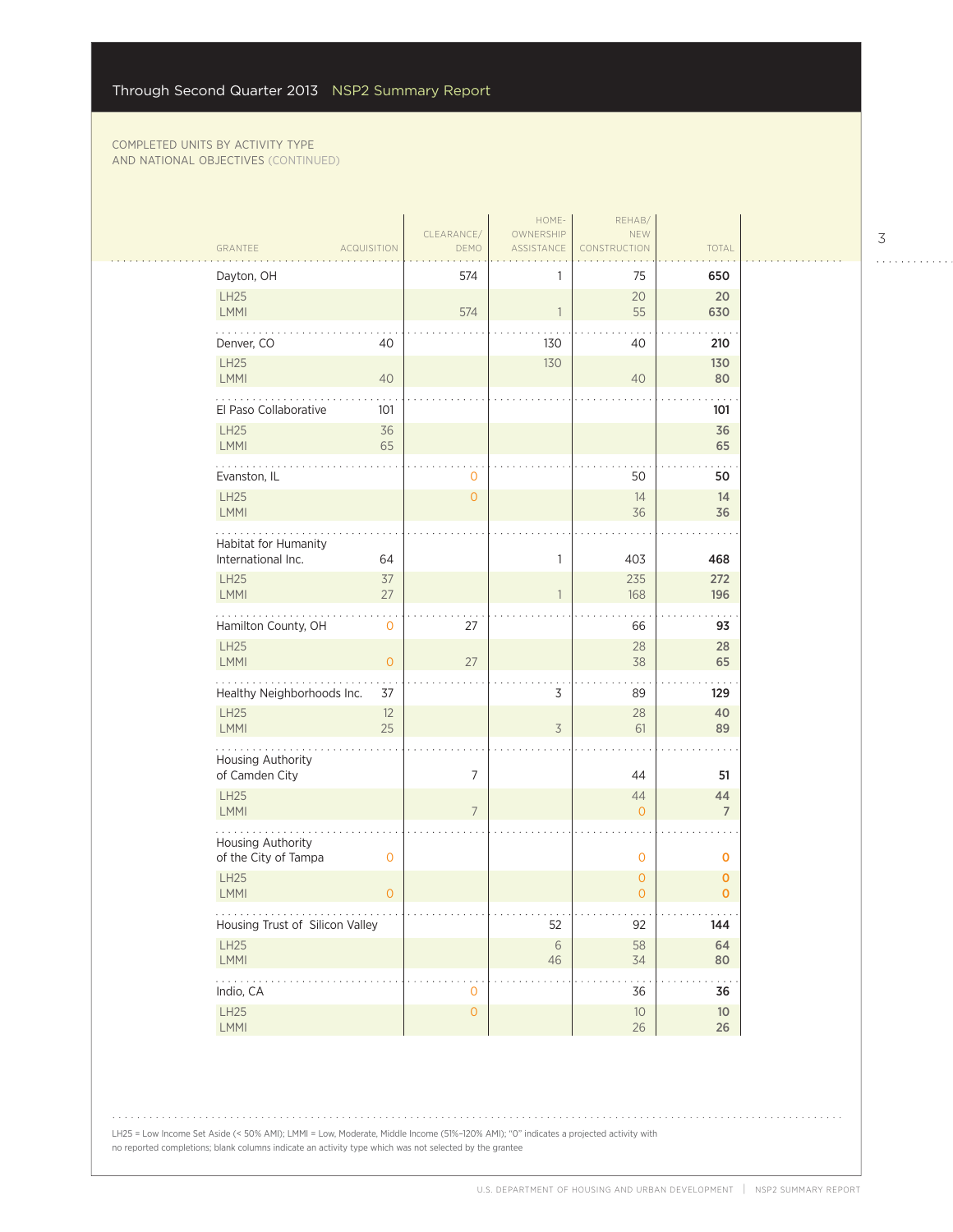| GRANTEE                                    | <b>ACQUISITION</b> | CLEARANCE/<br>DEMO  | HOME-<br>OWNERSHIP<br><b>ASSISTANCE</b> | REHAB/<br>NEW<br>CONSTRUCTION    | TOTAL                       |  |
|--------------------------------------------|--------------------|---------------------|-----------------------------------------|----------------------------------|-----------------------------|--|
| Dayton, OH                                 |                    | 574                 |                                         | 75                               | 650                         |  |
| LH25<br>LMMI                               |                    | 574                 |                                         | 20<br>55                         | 20<br>630                   |  |
| Denver, CO                                 | 40                 |                     | 130                                     | 40                               | 210                         |  |
| LH25<br>LMMI                               | 40                 |                     | 130                                     | 40                               | 130<br>80                   |  |
| El Paso Collaborative                      | 101                |                     |                                         |                                  | 101                         |  |
| <b>LH25</b><br>LMMI                        | 36<br>65           |                     |                                         |                                  | 36<br>65                    |  |
| Evanston, IL                               |                    | 0                   |                                         | 50                               | 50                          |  |
| LH25<br>LMMI                               |                    | $\overline{0}$      |                                         | 14<br>36                         | 14<br>36                    |  |
| Habitat for Humanity<br>International Inc. | 64                 |                     | 1                                       | 403                              | 468                         |  |
| <b>LH25</b><br><b>LMMI</b>                 | 37<br>27           |                     |                                         | 235<br>168                       | 272<br>196                  |  |
| Hamilton County, OH                        | $\mathbf 0$        | 27                  |                                         | 66                               | 93                          |  |
| LH25<br>LMMI                               | $\mathbf{O}$       | 27                  |                                         | 28<br>38                         | 28<br>65                    |  |
| Healthy Neighborhoods Inc.                 | 37                 |                     | 3                                       | 89                               | 129                         |  |
| <b>LH25</b><br>LMMI                        | 12<br>25           |                     | 3                                       | 28<br>61                         | 40<br>89                    |  |
| Housing Authority<br>of Camden City        |                    | $\overline{7}$      |                                         | 44                               | 51                          |  |
| LH25<br>LMMI                               |                    | $7\overline{ }$     |                                         | 44<br>$\overline{0}$             | 44<br>$\overline{7}$        |  |
| Housing Authority<br>of the City of Tampa  | $\mathbf 0$        |                     |                                         | $\mathbf 0$                      | 0                           |  |
| <b>LH25</b><br>LMMI                        | $\mathbf{O}$       |                     |                                         | $\overline{0}$<br>$\overline{O}$ | $\mathbf 0$<br>$\mathbf{O}$ |  |
| Housing Trust of Silicon Valley            |                    |                     | 52                                      | 92                               | 144                         |  |
| LH25<br>LMMI                               |                    |                     | $\sqrt{6}$<br>46                        | 58<br>34                         | 64<br>80                    |  |
| .<br>Indio, CA                             |                    | 0                   |                                         | 36                               | 36                          |  |
| LH25<br>LMMI                               |                    | $\mathsf{O}\xspace$ |                                         | $10\,$<br>$26\,$                 | $10$<br>$26\phantom{.}$     |  |
|                                            |                    |                     |                                         |                                  |                             |  |

3

. . . . . . . . . . . .

LH25 = Low Income Set Aside (< 50% AMI); LMMI = Low, Moderate, Middle Income (51%–120% AMI); "0" indicates a projected activity with no reported completions; blank columns indicate an activity type which was not selected by the grantee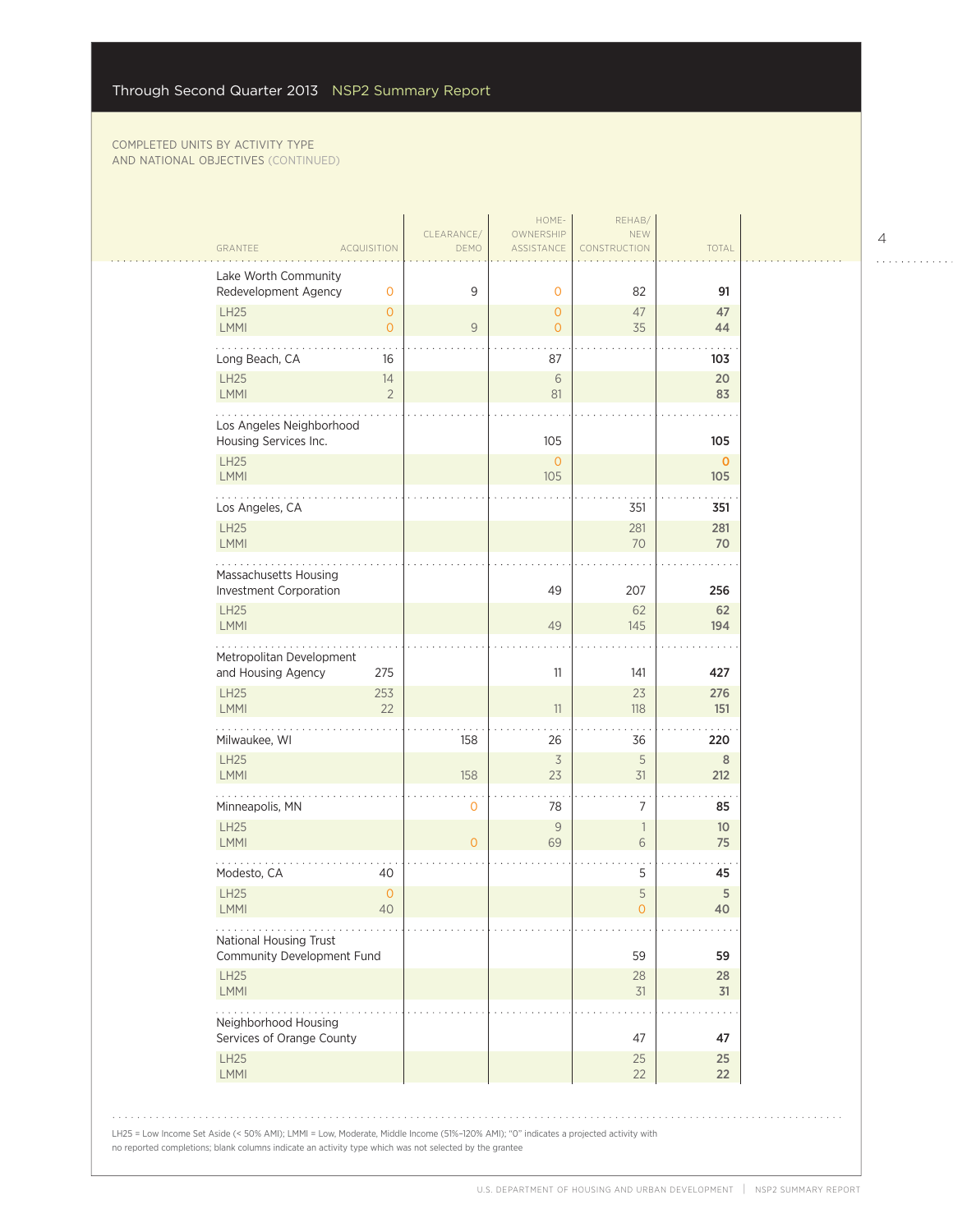| GRANTEE                                                   | <b>ACQUISITION</b>                     | CLEARANCE/<br>DEMO | HOME-<br>OWNERSHIP<br>ASSISTANCE | REHAB/<br>NEW<br>CONSTRUCTION | TOTAL                 |
|-----------------------------------------------------------|----------------------------------------|--------------------|----------------------------------|-------------------------------|-----------------------|
|                                                           |                                        |                    |                                  |                               |                       |
| Lake Worth Community<br>Redevelopment Agency              | $\mathbf 0$                            | 9                  | $\mathbf 0$                      | 82                            | 91                    |
| LH25<br><b>LMMI</b>                                       | $\mathbf{O}$<br>$\circ$                | 9                  | 0<br>$\overline{O}$              | 47<br>35                      | 47<br>44              |
| Long Beach, CA                                            | 16                                     |                    | 87                               |                               | 103                   |
| LH25<br>LMMI                                              | 14<br>$\overline{2}$                   |                    | $\sqrt{6}$<br>81                 |                               | 20<br>83              |
| Los Angeles Neighborhood<br>Housing Services Inc.         |                                        |                    | 105                              |                               | 105                   |
| LH25<br><b>LMMI</b>                                       |                                        |                    | $\overline{0}$<br>105            |                               | $\mathbf 0$<br>105    |
| Los Angeles, CA                                           |                                        |                    |                                  | 351                           | 351                   |
| LH25<br>LMMI                                              |                                        |                    |                                  | 281<br>70                     | 281<br>70             |
| Massachusetts Housing<br>Investment Corporation           |                                        |                    | 49                               | 207                           | 256                   |
| LH25<br><b>LMMI</b>                                       |                                        |                    | 49                               | 62<br>145                     | 62<br>194             |
| Metropolitan Development<br>and Housing Agency            | 275                                    |                    | 11                               | 141                           | 427                   |
| <b>LH25</b><br>LMMI                                       | 253<br>22                              |                    | 11                               | 23<br>118                     | 276<br>151            |
| Milwaukee, WI                                             |                                        | 158                | 26                               | 36                            | 220                   |
| LH25<br><b>LMMI</b>                                       |                                        | 158                | $\overline{\mathcal{S}}$<br>23   | 5<br>$31$                     | $\, 8$<br>212         |
| Minneapolis, MN                                           |                                        | $\mathbf 0$        | 78                               | $\overline{7}$                | 85                    |
| LH25<br>LMMI                                              |                                        | $\overline{O}$     | $\mathcal{G}$<br>69              | $\mathbf{1}$<br>6             | 10 <sup>°</sup><br>75 |
| Modesto, CA                                               | 40                                     |                    |                                  | 5                             | 45                    |
| LH25<br>LMMI                                              | $\mathsf{O}\xspace$<br>$\Delta \Omega$ |                    |                                  | 5<br>$\Omega$                 | 5<br>40               |
|                                                           |                                        |                    |                                  |                               |                       |
| National Housing Trust                                    |                                        |                    |                                  |                               |                       |
| Community Development Fund<br><b>LH25</b>                 |                                        |                    |                                  | 59<br>28                      | 59<br>28              |
| <b>LMMI</b>                                               |                                        |                    |                                  | 31                            | 31                    |
| Neighborhood Housing<br>Services of Orange County<br>LH25 |                                        |                    |                                  | 47<br>25                      | 47<br>25              |

LH25 = Low Income Set Aside (< 50% AMI); LMMI = Low, Moderate, Middle Income (51%–120% AMI); "0" indicates a projected activity with no reported completions; blank columns indicate an activity type which was not selected by the grantee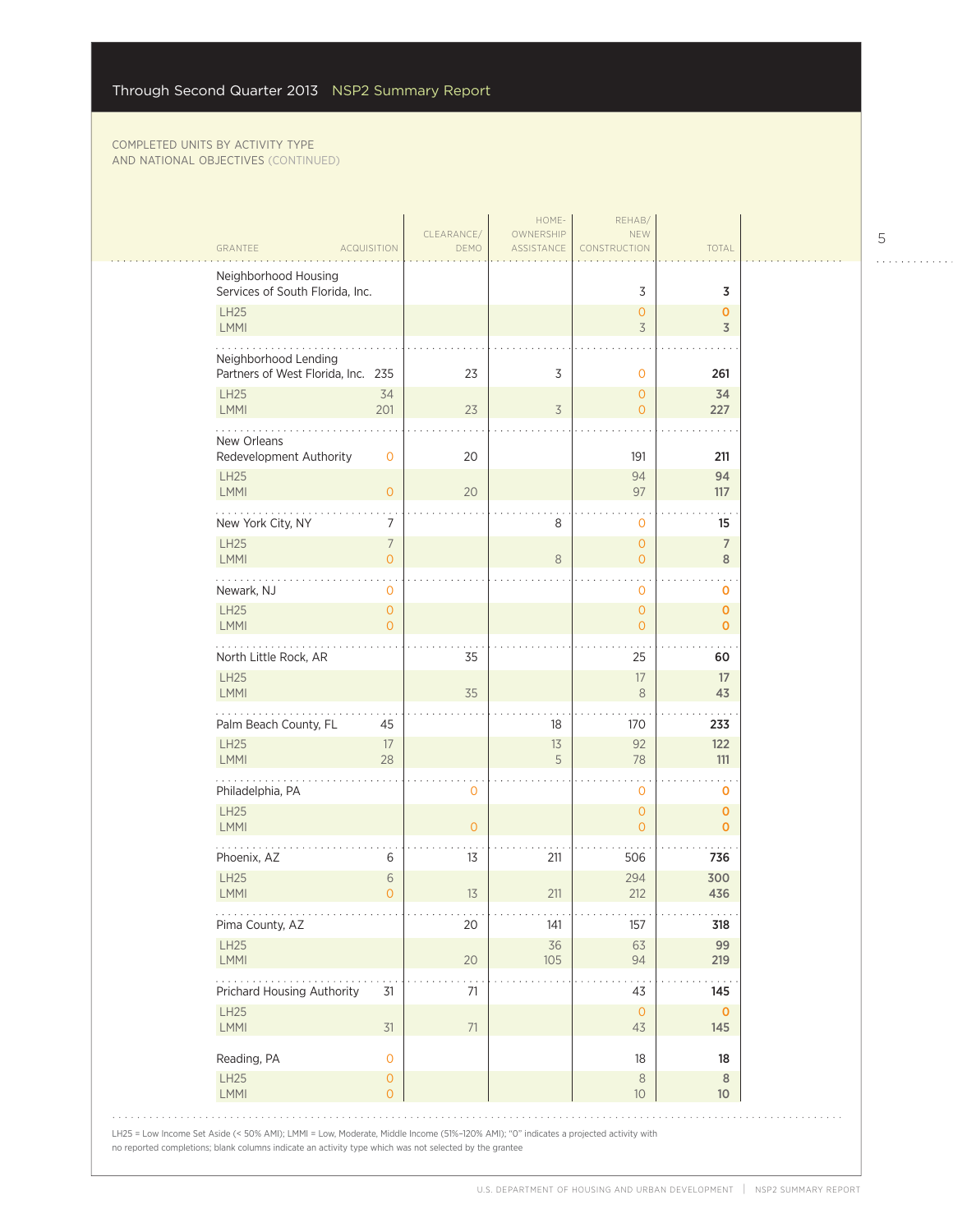| <b>GRANTEE</b>                                          | ACQUISITION                                   | CLEARANCE/<br>DEMO   | HOME-<br>OWNERSHIP<br>ASSISTANCE    | REHAB/<br><b>NEW</b><br>CONSTRUCTION            | TOTAL                             |
|---------------------------------------------------------|-----------------------------------------------|----------------------|-------------------------------------|-------------------------------------------------|-----------------------------------|
| Neighborhood Housing<br>Services of South Florida, Inc. |                                               |                      |                                     | 3                                               | 3                                 |
| <b>LH25</b><br>LMMI                                     |                                               |                      |                                     | $\overline{0}$<br>$\overline{3}$                | $\mathbf{o}$<br>$\overline{3}$    |
| Neighborhood Lending                                    | Partners of West Florida, Inc. 235            | 23                   | 3                                   | 0                                               | 261                               |
| <b>LH25</b><br>LMMI                                     | 34<br>201                                     | 23                   | $\overline{3}$                      | $\mathsf{O}\xspace$<br>$\mathbf{O}$             | 34<br>227                         |
| New Orleans<br>Redevelopment Authority                  | $\mathbf 0$                                   | 20                   |                                     | 191                                             | 211                               |
| <b>LH25</b><br>LMMI                                     | $\mathbf{O}$                                  | 20                   |                                     | 94<br>97                                        | 94<br>117                         |
| New York City, NY                                       | 7                                             |                      | 8                                   | 0                                               | 15                                |
| <b>LH25</b><br>LMMI                                     | 7<br>$\overline{O}$                           |                      | $\,8\,$                             | $\mathbf 0$<br>$\mathbf{O}$                     | $\overline{7}$<br>8               |
| Newark, NJ<br><b>LH25</b><br><b>LMMI</b>                | $\mathbf 0$<br>$\mathbf{O}$<br>$\Omega$       |                      |                                     | $\mathbf 0$<br>$\overline{0}$<br>$\overline{O}$ | 0<br>$\mathbf{o}$<br>$\mathbf{O}$ |
| North Little Rock, AR                                   |                                               | 35                   |                                     | 25                                              | 60                                |
| <b>LH25</b><br>LMMI                                     |                                               | 35                   |                                     | 17<br>8                                         | 17<br>43                          |
| Palm Beach County, FL<br><b>LH25</b>                    | 45<br>17                                      |                      | 18<br>$13$                          | 170<br>92                                       | 233<br>122                        |
| <b>LMMI</b>                                             | 28                                            |                      | 5                                   | 78                                              | 111                               |
| Philadelphia, PA<br><b>LH25</b>                         |                                               | $\mathbf{O}$         |                                     | $\mathbf 0$<br>$\overline{0}$                   | O<br>$\mathbf 0$                  |
| LMMI<br>Phoenix, AZ                                     | 6                                             | $\overline{O}$<br>13 | 211                                 | $\overline{0}$<br>506                           | $\mathbf{O}$<br>736               |
| LH25<br>LMMI                                            | $6\phantom{.}6$<br>$\Omega$                   | 13                   | 211                                 | 294<br>212                                      | 300<br>436                        |
| .<br>Pima County, AZ                                    |                                               | $\cdots$<br>20       | $\alpha \rightarrow -\infty$<br>141 | $\cdots$<br>157                                 | .<br>318                          |
| <b>LH25</b><br>LMMI                                     |                                               | 20                   | 36<br>105                           | 63<br>94                                        | 99<br>219                         |
| Prichard Housing Authority<br><b>LH25</b>               | 31                                            | 71                   |                                     | 43<br>$\circ$                                   | 145<br>$\mathbf 0$                |
| <b>LMMI</b>                                             | 31                                            | 71                   |                                     | 43                                              | 145                               |
| Reading, PA<br>LH25<br>LMMI                             | $\mathbf 0$<br>$\mathbf{O}$<br>$\overline{O}$ |                      |                                     | 18<br>8<br>10                                   | 18<br>$\,8\,$<br>10               |

5

. . . . . . . . . . . .